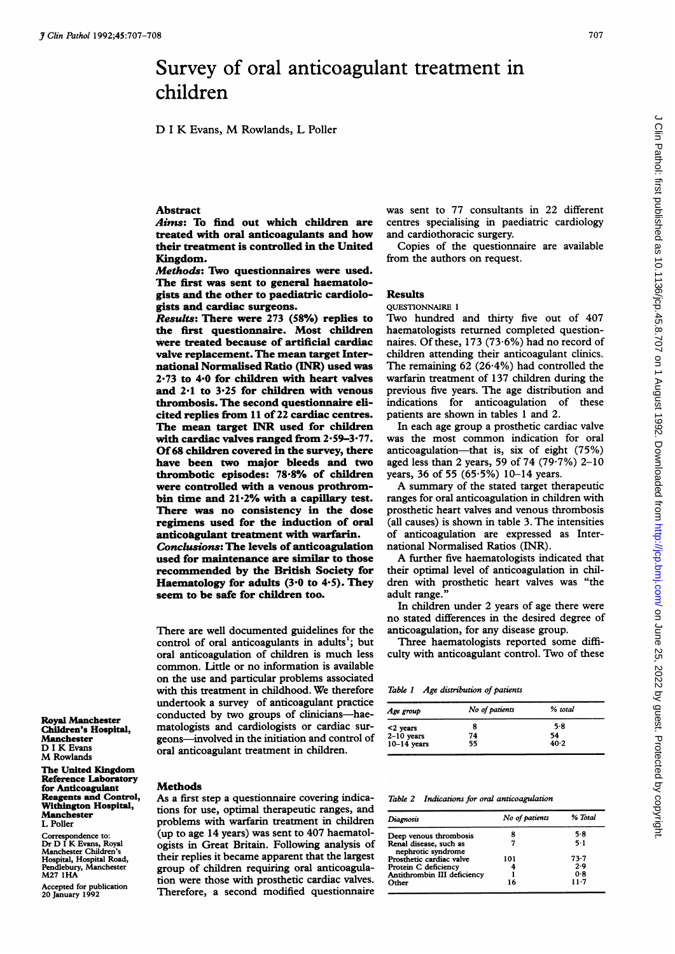# Survey of oral anticoagulant treatment in children

D <sup>I</sup> K Evans, M Rowlands, <sup>L</sup> Poller

#### **Abstract**

Aims: To find out which children are treated with oral anticoagulants and how their treatment is controlled in the United Kingdom.

Methods: Two questionnaires were used. The first was sent to general haematologists and the other to paediatric cardiologists and cardiac surgeons.

Results: There were 273 (58%) replies to the first questionnaire. Most children were treated because of artificial cardiac valve replacement. The mean target International Normalised Ratio (INR) used was 2-73 to 4-0 for children with heart valves and  $2.1$  to  $3.25$  for children with venous thrombosis. The second questionnaire elicited replies from 11 of 22 cardiac centres. The mean target INR used for children with cardiac valves ranged from 2\*59-3'77. Of68 children covered in the survey, there have been two major bleeds and two thrombotic episodes: 78\*8% of children were controlled with a venous prothrombin time and 21-2% with a capillary test. There was no consistency in the dose regimens used for the induction of oral anticoagulant treatment with warfarin. Conclusions: The levels of anticoagulation used for maintenance are similar to those recommended by the British Society for Haematology for adults  $(3.0 \text{ to } 4.5)$ . They seem to be safe for children too.

There are well documented guidelines for the control of oral anticoagulants in adults'; but oral anticoagulation of children is much less common. Little or no information is available on the use and particular problems associated with this treatment in childhood. We therefore undertook a survey of anticoagulant practice conducted by two groups of clinicians-haematologists and cardiologists or cardiac surgeons-involved in the initiation and control of oral anticoagulant treatment in children.

Royal Manchester Children's Hospital, Manchester D <sup>I</sup> K Evans M Rowlands

The United Kingdom Reference Laboratory for Anticoagulant Reagents and Control, Withington Hospital, Manchester L Poller

Correspondence to: Dr D <sup>I</sup> K Evans, Royal Manchester Children's Hospital, Hospital Road, Pendlebury, Manchester M27 IHA

Accepted for publication 20 January 1992

#### Methods

As a first step a questionnaire covering indications for use, optimal therapeutic ranges, and problems with warfarin treatment in children (up to age 14 years) was sent to 407 haematologists in Great Britain. Following analysis of their replies it became apparent that the largest group of children requiring oral anticoagulation were those with prosthetic cardiac valves. Therefore, a second modified questionnaire

was sent to 77 consultants in 22 different centres specialising in paediatric cardiology and cardiothoracic surgery.

Copies of the questionnaire are available from the authors on request.

## Results

QUESTIONNAIRE <sup>1</sup>

Two hundred and thirty five out of 407 haematologists returned completed questionnaires. Of these, 173 (73 6%) had no record of children attending their anticoagulant clinics. The remaining  $62$  (26.4%) had controlled the warfarin treatment of 137 children during the previous five years. The age distribution and indications for anticoagulation of these patients are shown in tables <sup>1</sup> and 2.

In each age group a prosthetic cardiac valve was the most common indication for oral anticoagulation-that is, six of eight (75%) aged less than 2 years, 59 of 74 (79.7%) 2-10 vears, 36 of 55 (65 $\cdot$ 5%) 10-14 years.

A summary of the stated target therapeutic ranges for oral anticoagulation in children with prosthetic heart valves and venous thrombosis (all causes) is shown in table 3. The intensities of anticoagulation are expressed as International Normalised Ratios (INR).

A further five haematologists indicated that their optimal level of anticoagulation in children with prosthetic heart valves was "the adult range."

In children under 2 years of age there were no stated differences in the desired degree of anticoagulation, for any disease group.

Three haematologists reported some difficulty with anticoagulant control. Two of these

Table 1 Age distribution of patients

| Age group     | No of patients | % total |
|---------------|----------------|---------|
| <2 years      | 8              | 5.8     |
| $2-10$ years  | 74             | 54      |
| $10-14$ years | 55             | 40.2    |

#### Table 2 Indications for oral anticoagulation

| Diagnosis                                    | No of patients | % Total  |  |
|----------------------------------------------|----------------|----------|--|
| Deep venous thrombosis                       |                | 5.8      |  |
| Renal disease, such as<br>nephrotic syndrome |                | $5 - 1$  |  |
| Prosthetic cardiac valve                     | 101            | $73 - 7$ |  |
| Protein C deficiency                         |                | 2.9      |  |
| Antithrombin III deficiency                  |                | 0.8      |  |
| Other                                        | 16             | 11.7     |  |